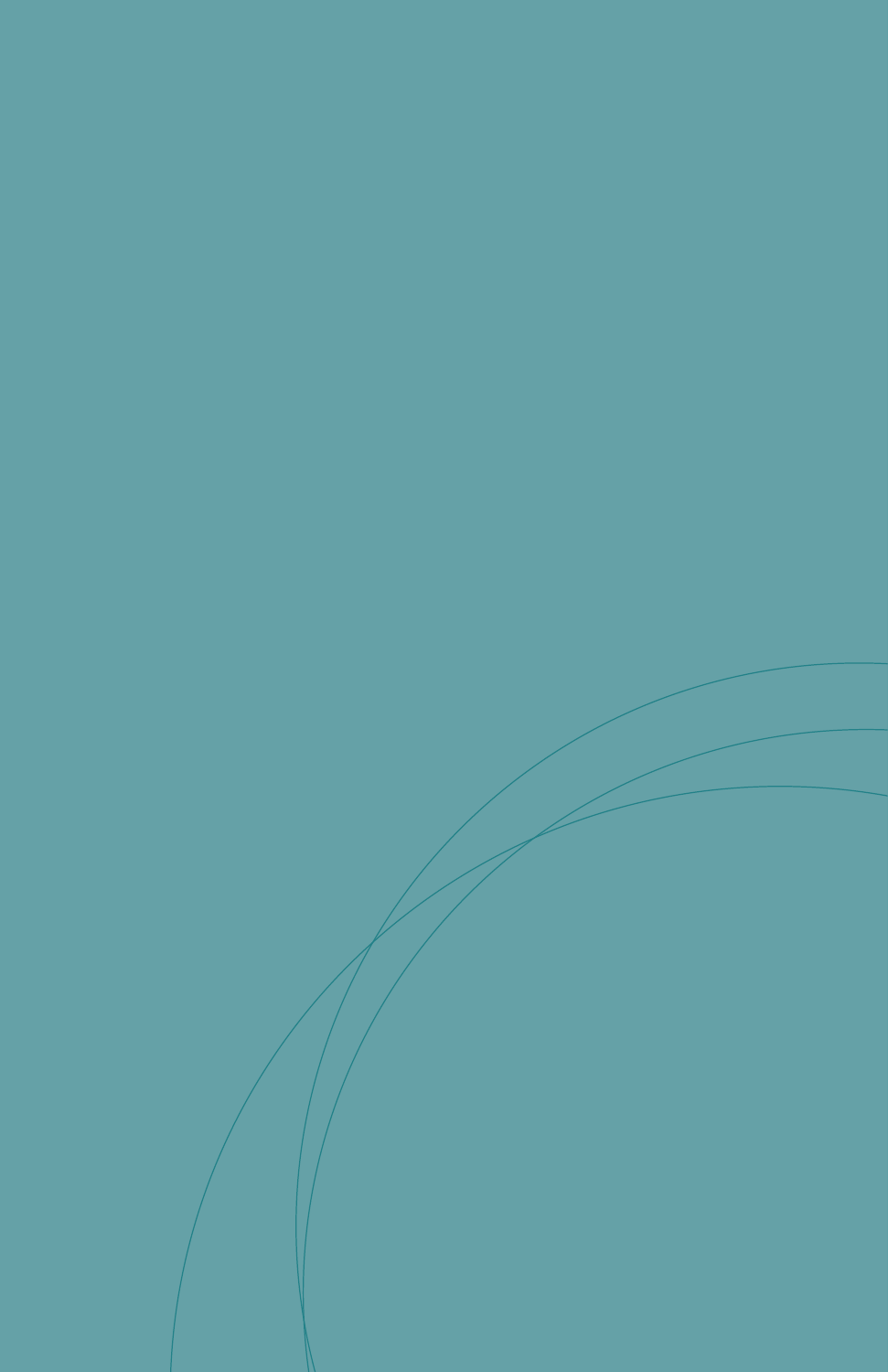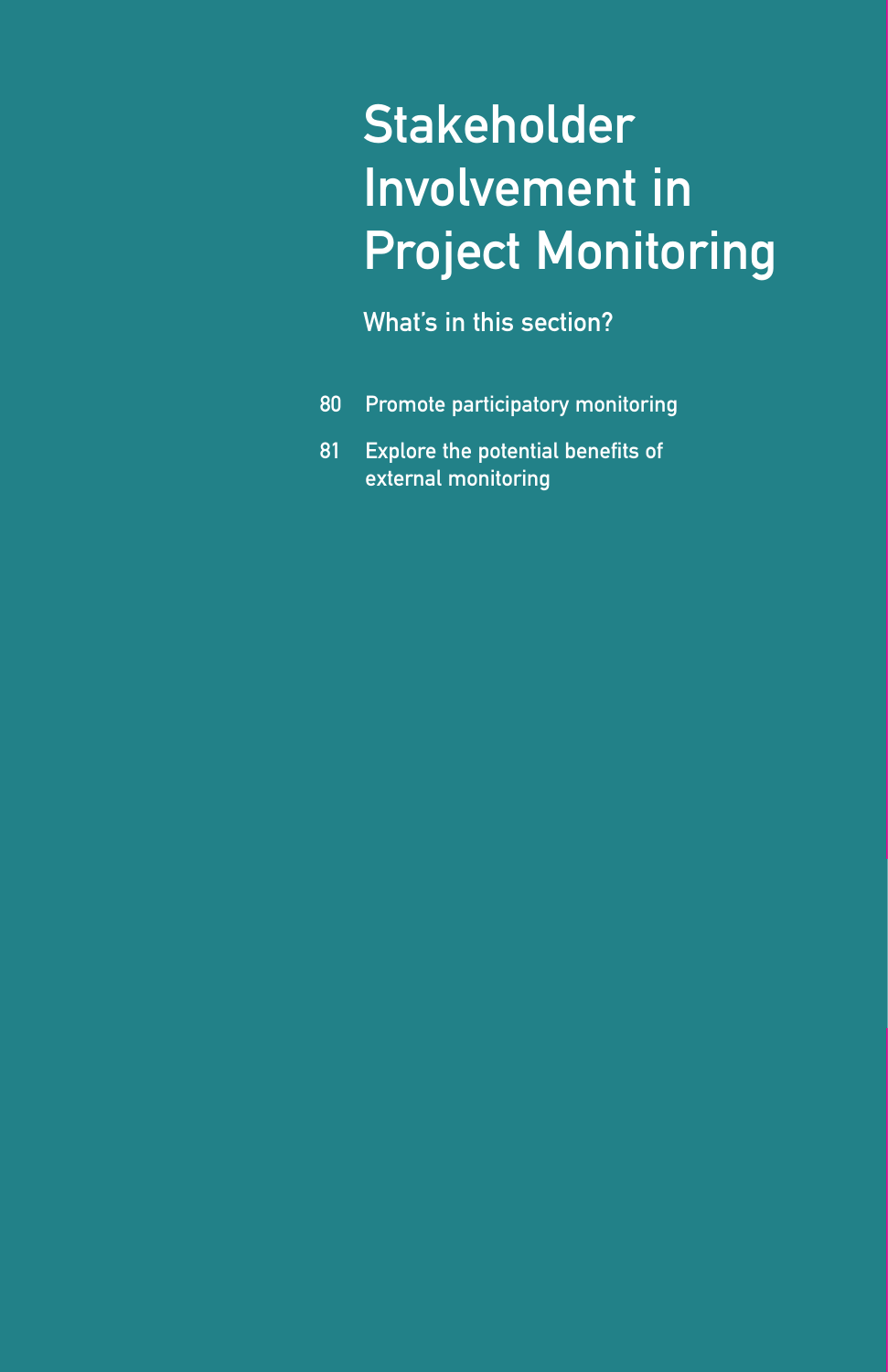# **Stakeholder** Involvement in Project Monitoring

What's in this section?

- 80 Promote participatory monitoring
- 81 Explore the potential benefits of external monitoring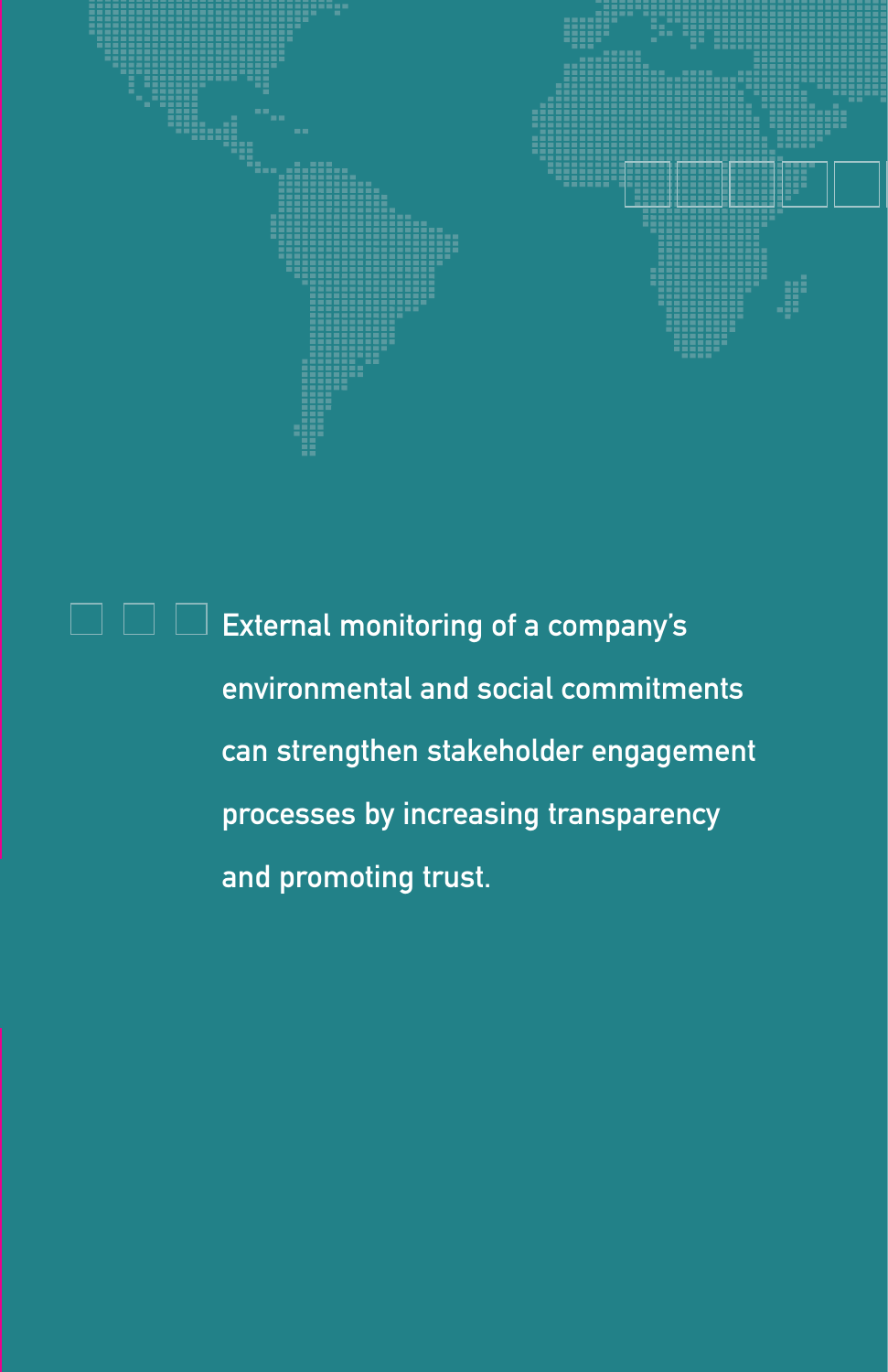

External monitoring of a company's environmental and social commitments can strengthen stakeholder engagement processes by increasing transparency and promoting trust.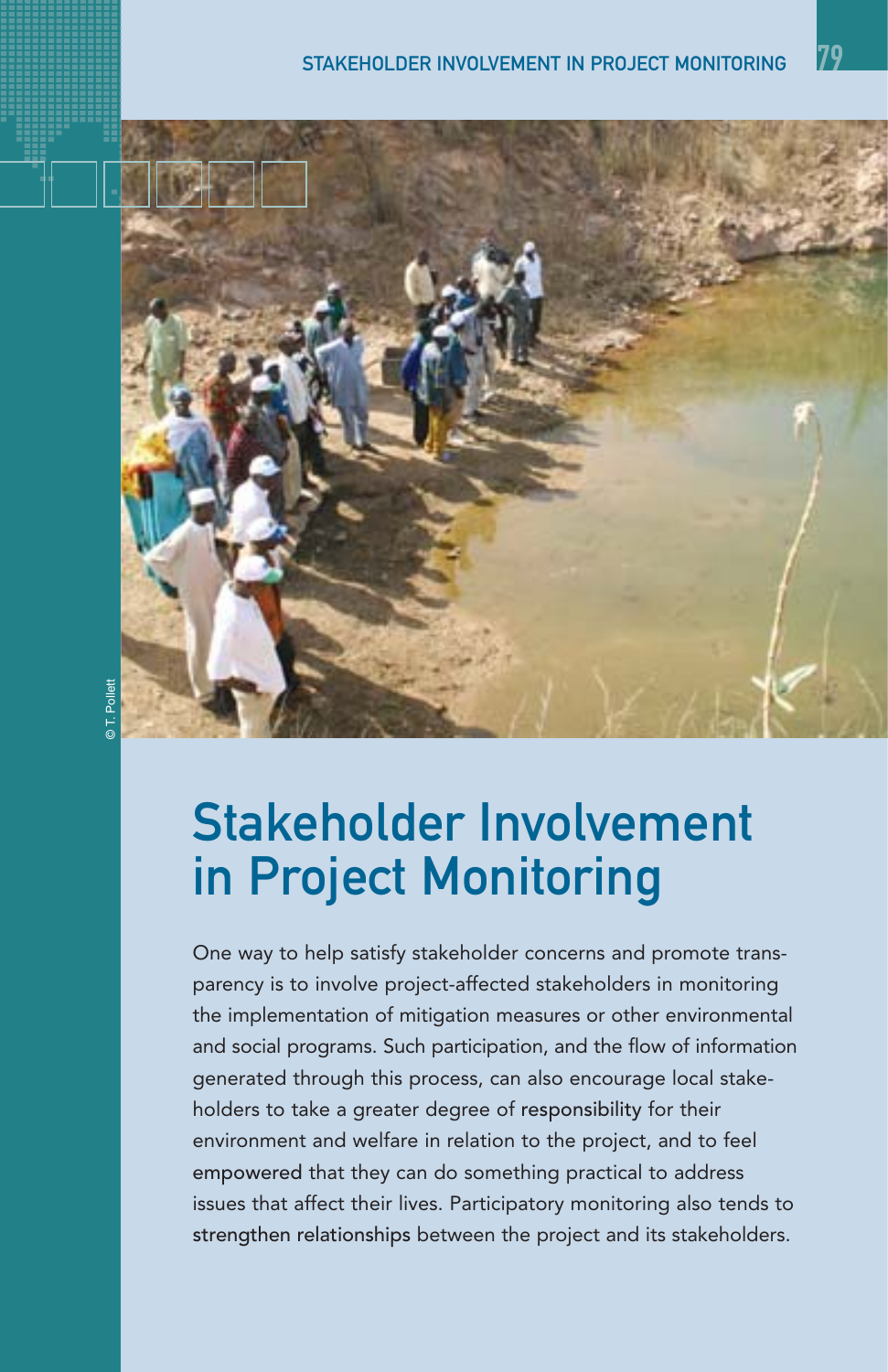

# Stakeholder Involvement in Project Monitoring

One way to help satisfy stakeholder concerns and promote transparency is to involve project-affected stakeholders in monitoring the implementation of mitigation measures or other environmental and social programs. Such participation, and the flow of information generated through this process, can also encourage local stakeholders to take a greater degree of responsibility for their environment and welfare in relation to the project, and to feel empowered that they can do something practical to address issues that affect their lives. Participatory monitoring also tends to strengthen relationships between the project and its stakeholders.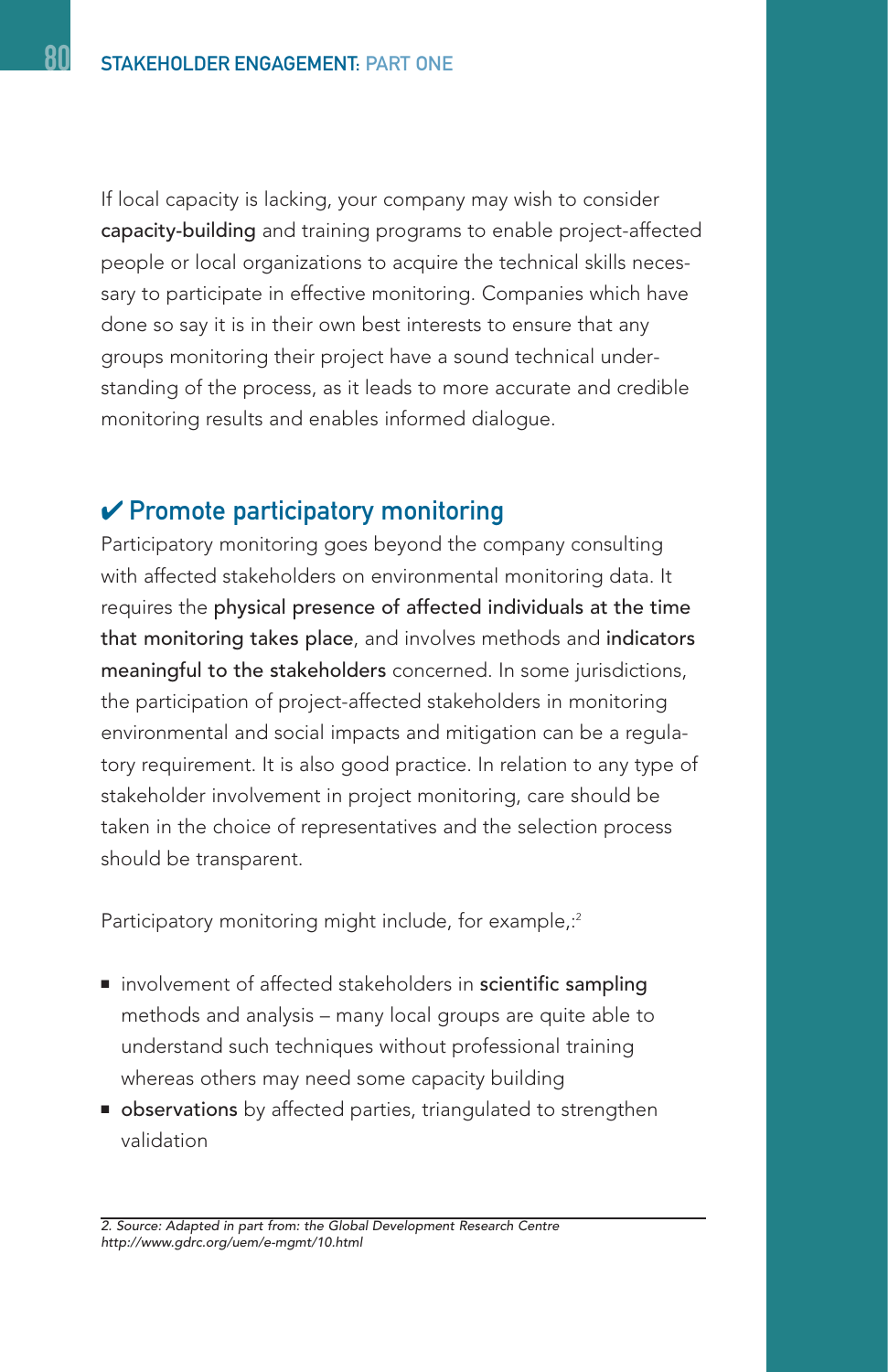If local capacity is lacking, your company may wish to consider capacity-building and training programs to enable project-affected people or local organizations to acquire the technical skills necessary to participate in effective monitoring. Companies which have done so say it is in their own best interests to ensure that any groups monitoring their project have a sound technical understanding of the process, as it leads to more accurate and credible monitoring results and enables informed dialogue.

# $\vee$  Promote participatory monitoring

Participatory monitoring goes beyond the company consulting with affected stakeholders on environmental monitoring data. It requires the physical presence of affected individuals at the time that monitoring takes place, and involves methods and indicators meaningful to the stakeholders concerned. In some jurisdictions, the participation of project-affected stakeholders in monitoring environmental and social impacts and mitigation can be a regulatory requirement. It is also good practice. In relation to any type of stakeholder involvement in project monitoring, care should be taken in the choice of representatives and the selection process should be transparent.

Participatory monitoring might include, for example,:<sup>2</sup>

- involvement of affected stakeholders in scientific sampling methods and analysis – many local groups are quite able to understand such techniques without professional training whereas others may need some capacity building
- observations by affected parties, triangulated to strengthen validation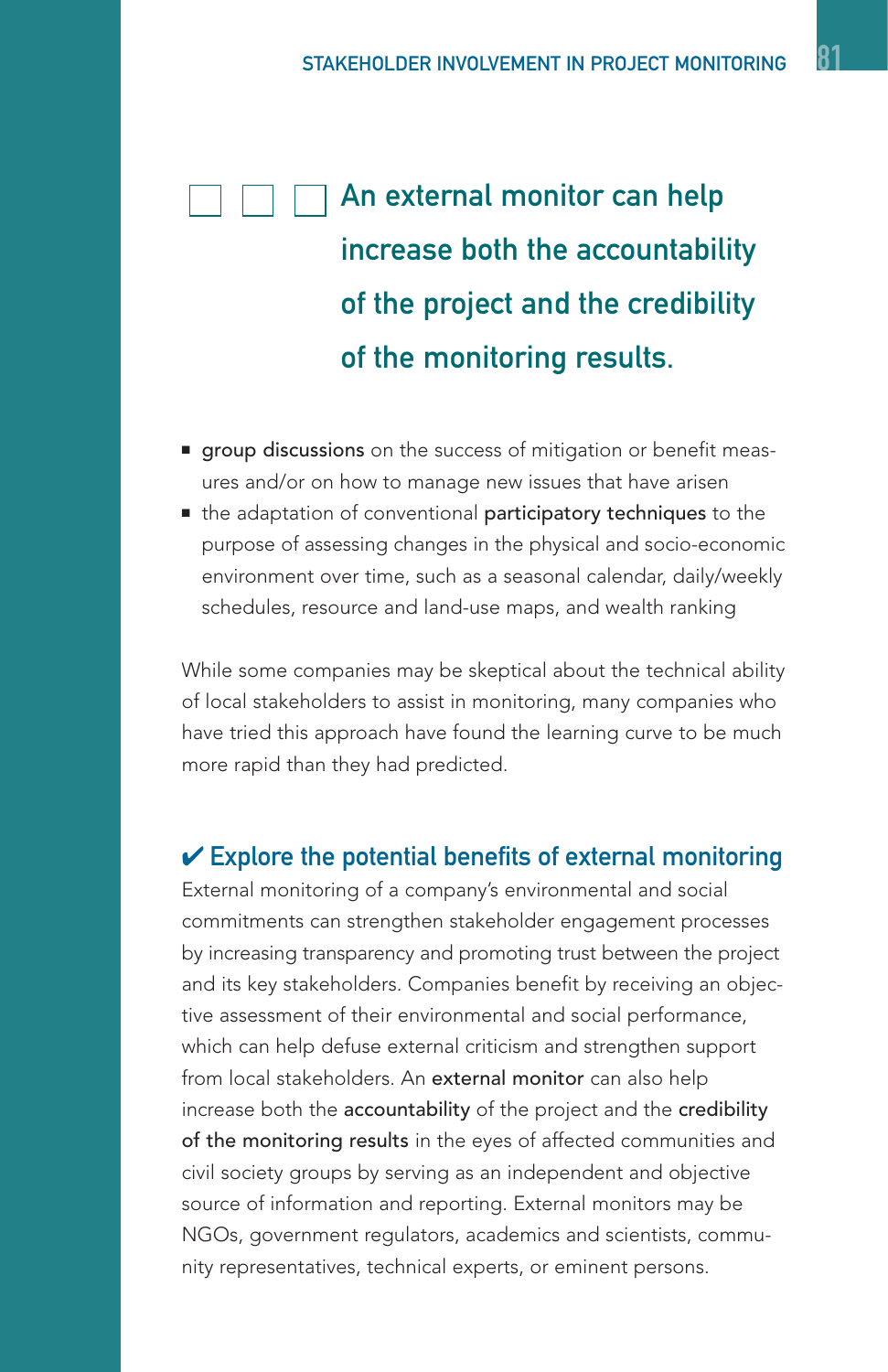An external monitor can help increase both the accountability of the project and the credibility of the monitoring results.

- group discussions on the success of mitigation or benefit measures and/or on how to manage new issues that have arisen
- the adaptation of conventional participatory techniques to the purpose of assessing changes in the physical and socio-economic environment over time, such as a seasonal calendar, daily/weekly schedules, resource and land-use maps, and wealth ranking

While some companies may be skeptical about the technical ability of local stakeholders to assist in monitoring, many companies who have tried this approach have found the learning curve to be much more rapid than they had predicted.

## $\vee$  Explore the potential benefits of external monitoring

External monitoring of a company's environmental and social commitments can strengthen stakeholder engagement processes by increasing transparency and promoting trust between the project and its key stakeholders. Companies benefit by receiving an objective assessment of their environmental and social performance, which can help defuse external criticism and strengthen support from local stakeholders. An external monitor can also help increase both the accountability of the project and the credibility of the monitoring results in the eyes of affected communities and civil society groups by serving as an independent and objective source of information and reporting. External monitors may be NGOs, government regulators, academics and scientists, community representatives, technical experts, or eminent persons.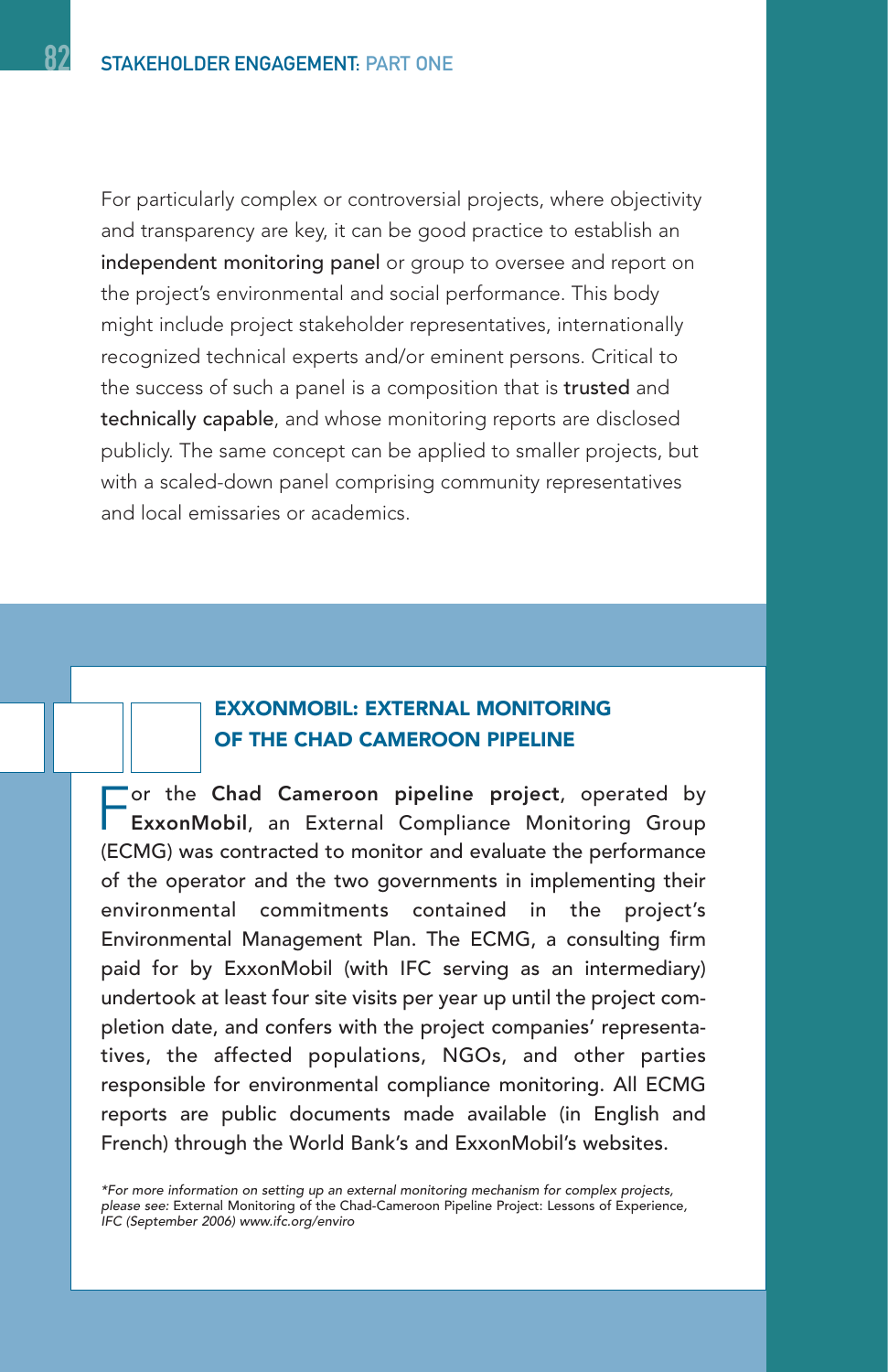For particularly complex or controversial projects, where objectivity and transparency are key, it can be good practice to establish an independent monitoring panel or group to oversee and report on the project's environmental and social performance. This body might include project stakeholder representatives, internationally recognized technical experts and/or eminent persons. Critical to the success of such a panel is a composition that is trusted and technically capable, and whose monitoring reports are disclosed publicly. The same concept can be applied to smaller projects, but with a scaled-down panel comprising community representatives and local emissaries or academics.

## EXXONMOBIL: EXTERNAL MONITORING OF THE CHAD CAMEROON PIPELINE

For the Chad Cameroon pipeline project, operated by ExxonMobil, an External Compliance Monitoring Group (ECMG) was contracted to monitor and evaluate the performance of the operator and the two governments in implementing their environmental commitments contained in the project's Environmental Management Plan. The ECMG, a consulting firm paid for by ExxonMobil (with IFC serving as an intermediary) undertook at least four site visits per year up until the project completion date, and confers with the project companies' representatives, the affected populations, NGOs, and other parties responsible for environmental compliance monitoring. All ECMG reports are public documents made available (in English and French) through the World Bank's and ExxonMobil's websites.

\*For more information on setting up an external monitoring mechanism for complex projects, please see: External Monitoring of the Chad-Cameroon Pipeline Project: Lessons of Experience, IFC (September 2006) www.ifc.org/enviro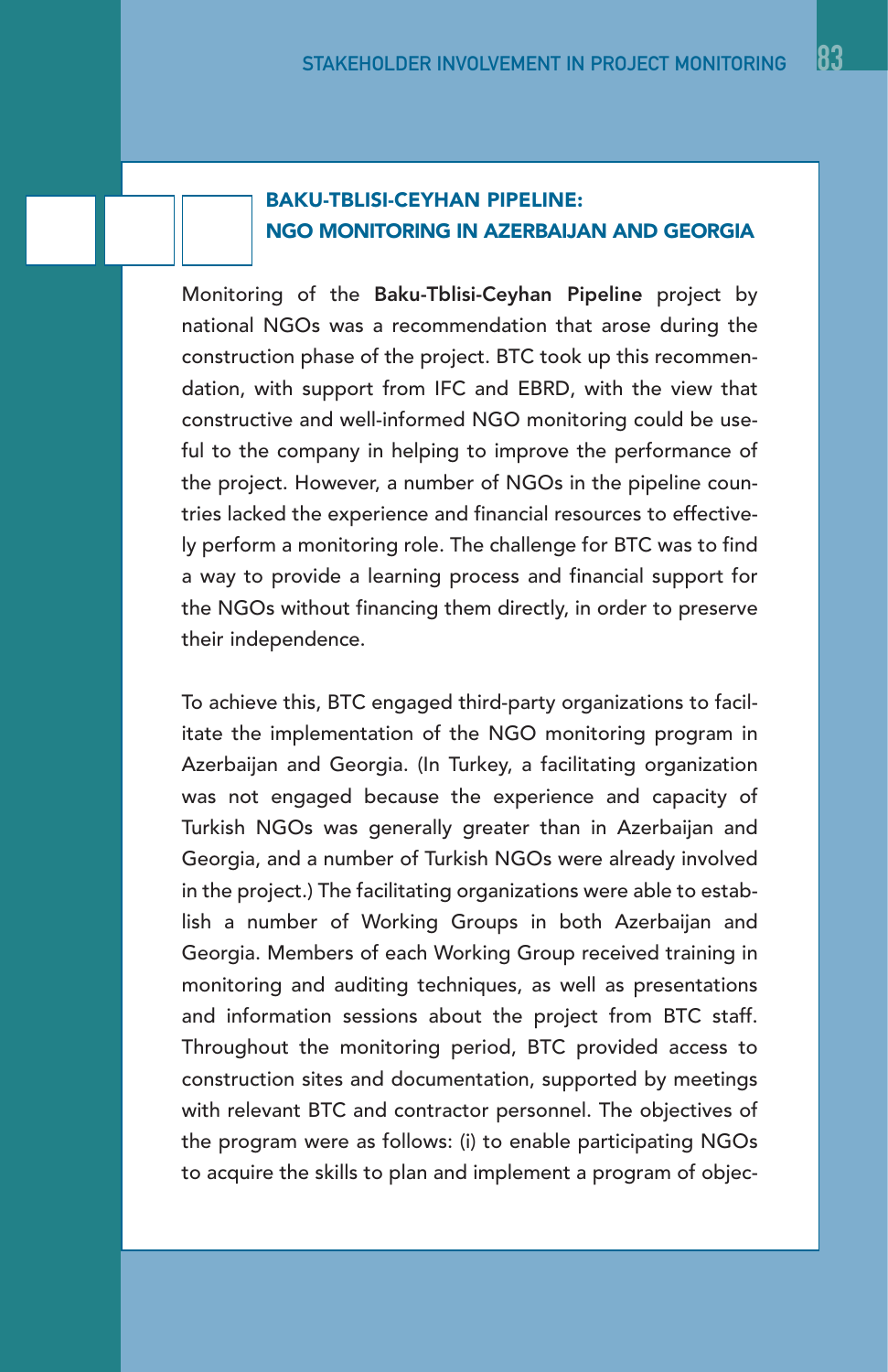# BAKU-TBLISI-CEYHAN PIPELINE: NGO MONITORING IN AZERBAIJAN AND GEORGIA

Monitoring of the Baku-Tblisi-Ceyhan Pipeline project by national NGOs was a recommendation that arose during the construction phase of the project. BTC took up this recommendation, with support from IFC and EBRD, with the view that constructive and well-informed NGO monitoring could be useful to the company in helping to improve the performance of the project. However, a number of NGOs in the pipeline countries lacked the experience and financial resources to effectively perform a monitoring role. The challenge for BTC was to find a way to provide a learning process and financial support for the NGOs without financing them directly, in order to preserve their independence.

To achieve this, BTC engaged third-party organizations to facilitate the implementation of the NGO monitoring program in Azerbaijan and Georgia. (In Turkey, a facilitating organization was not engaged because the experience and capacity of Turkish NGOs was generally greater than in Azerbaijan and Georgia, and a number of Turkish NGOs were already involved in the project.) The facilitating organizations were able to establish a number of Working Groups in both Azerbaijan and Georgia. Members of each Working Group received training in monitoring and auditing techniques, as well as presentations and information sessions about the project from BTC staff. Throughout the monitoring period, BTC provided access to construction sites and documentation, supported by meetings with relevant BTC and contractor personnel. The objectives of the program were as follows: (i) to enable participating NGOs to acquire the skills to plan and implement a program of objec-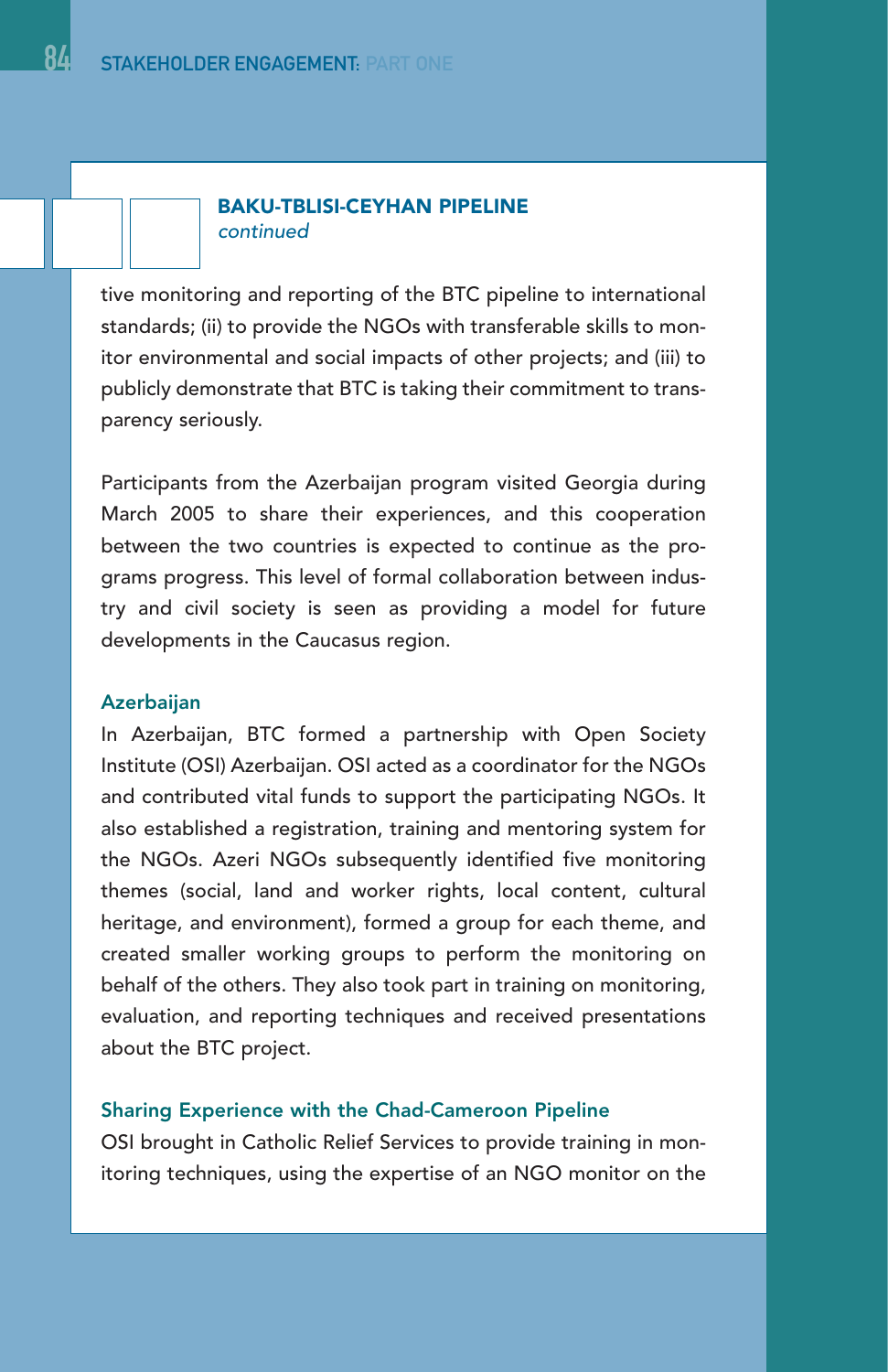#### BAKU-TBLISI-CEYHAN PIPELINE continued

tive monitoring and reporting of the BTC pipeline to international standards; (ii) to provide the NGOs with transferable skills to monitor environmental and social impacts of other projects; and (iii) to publicly demonstrate that BTC is taking their commitment to transparency seriously.

Participants from the Azerbaijan program visited Georgia during March 2005 to share their experiences, and this cooperation between the two countries is expected to continue as the programs progress. This level of formal collaboration between industry and civil society is seen as providing a model for future developments in the Caucasus region.

#### Azerbaijan

In Azerbaijan, BTC formed a partnership with Open Society Institute (OSI) Azerbaijan. OSI acted as a coordinator for the NGOs and contributed vital funds to support the participating NGOs. It also established a registration, training and mentoring system for the NGOs. Azeri NGOs subsequently identified five monitoring themes (social, land and worker rights, local content, cultural heritage, and environment), formed a group for each theme, and created smaller working groups to perform the monitoring on behalf of the others. They also took part in training on monitoring, evaluation, and reporting techniques and received presentations about the BTC project.

#### Sharing Experience with the Chad-Cameroon Pipeline

OSI brought in Catholic Relief Services to provide training in monitoring techniques, using the expertise of an NGO monitor on the